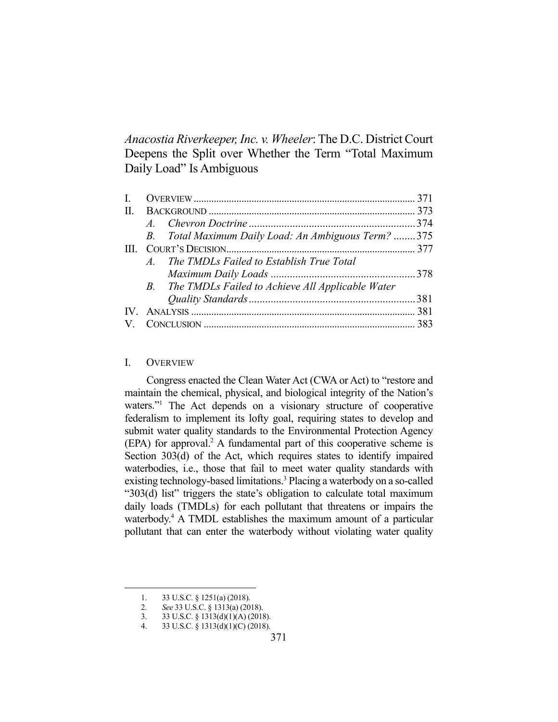*Anacostia Riverkeeper, Inc. v. Wheeler*: The D.C. District Court Deepens the Split over Whether the Term "Total Maximum Daily Load" Is Ambiguous

| $\Pi$ .                 |  |                                                                                                                                                           |
|-------------------------|--|-----------------------------------------------------------------------------------------------------------------------------------------------------------|
|                         |  |                                                                                                                                                           |
|                         |  |                                                                                                                                                           |
| ШL                      |  |                                                                                                                                                           |
|                         |  |                                                                                                                                                           |
|                         |  |                                                                                                                                                           |
|                         |  |                                                                                                                                                           |
|                         |  |                                                                                                                                                           |
| $\mathbf{I} \mathbf{V}$ |  |                                                                                                                                                           |
|                         |  |                                                                                                                                                           |
|                         |  | B. Total Maximum Daily Load: An Ambiguous Term? 375<br>A. The TMDLs Failed to Establish True Total<br>B. The TMDLs Failed to Achieve All Applicable Water |

## I. OVERVIEW

 Congress enacted the Clean Water Act (CWA or Act) to "restore and maintain the chemical, physical, and biological integrity of the Nation's waters."<sup>1</sup> The Act depends on a visionary structure of cooperative federalism to implement its lofty goal, requiring states to develop and submit water quality standards to the Environmental Protection Agency  $(EPA)$  for approval.<sup>2</sup> A fundamental part of this cooperative scheme is Section 303(d) of the Act, which requires states to identify impaired waterbodies, i.e., those that fail to meet water quality standards with existing technology-based limitations.<sup>3</sup> Placing a waterbody on a so-called "303(d) list" triggers the state's obligation to calculate total maximum daily loads (TMDLs) for each pollutant that threatens or impairs the waterbody.<sup>4</sup> A TMDL establishes the maximum amount of a particular pollutant that can enter the waterbody without violating water quality

 <sup>1. 33</sup> U.S.C. § 1251(a) (2018).

 <sup>2.</sup> *See* 33 U.S.C. § 1313(a) (2018).

 <sup>3. 33</sup> U.S.C. § 1313(d)(1)(A) (2018).

 <sup>4. 33</sup> U.S.C. § 1313(d)(1)(C) (2018).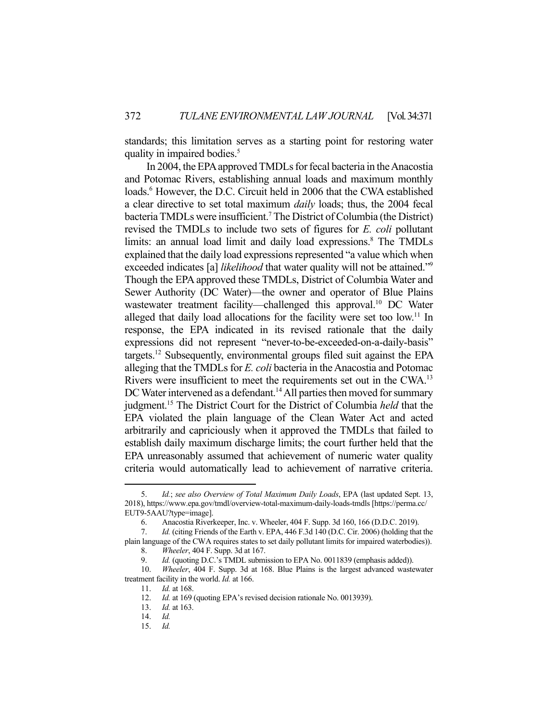standards; this limitation serves as a starting point for restoring water quality in impaired bodies.<sup>5</sup>

 In 2004, the EPA approved TMDLs for fecal bacteria in the Anacostia and Potomac Rivers, establishing annual loads and maximum monthly loads.<sup>6</sup> However, the D.C. Circuit held in 2006 that the CWA established a clear directive to set total maximum *daily* loads; thus, the 2004 fecal bacteria TMDLs were insufficient.<sup>7</sup> The District of Columbia (the District) revised the TMDLs to include two sets of figures for *E. coli* pollutant limits: an annual load limit and daily load expressions.<sup>8</sup> The TMDLs explained that the daily load expressions represented "a value which when exceeded indicates [a] *likelihood* that water quality will not be attained."<sup>9</sup> Though the EPA approved these TMDLs, District of Columbia Water and Sewer Authority (DC Water)—the owner and operator of Blue Plains wastewater treatment facility—challenged this approval.<sup>10</sup> DC Water alleged that daily load allocations for the facility were set too low.<sup>11</sup> In response, the EPA indicated in its revised rationale that the daily expressions did not represent "never-to-be-exceeded-on-a-daily-basis" targets.12 Subsequently, environmental groups filed suit against the EPA alleging that the TMDLs for *E. coli* bacteria in the Anacostia and Potomac Rivers were insufficient to meet the requirements set out in the CWA.13 DC Water intervened as a defendant.<sup>14</sup> All parties then moved for summary judgment.15 The District Court for the District of Columbia *held* that the EPA violated the plain language of the Clean Water Act and acted arbitrarily and capriciously when it approved the TMDLs that failed to establish daily maximum discharge limits; the court further held that the EPA unreasonably assumed that achievement of numeric water quality criteria would automatically lead to achievement of narrative criteria.

 <sup>5.</sup> *Id.*; *see also Overview of Total Maximum Daily Loads*, EPA (last updated Sept. 13, 2018), https://www.epa.gov/tmdl/overview-total-maximum-daily-loads-tmdls [https://perma.cc/ EUT9-5AAU?type=image].

 <sup>6.</sup> Anacostia Riverkeeper, Inc. v. Wheeler, 404 F. Supp. 3d 160, 166 (D.D.C. 2019).

 <sup>7.</sup> *Id.* (citing Friends of the Earth v. EPA, 446 F.3d 140 (D.C. Cir. 2006) (holding that the plain language of the CWA requires states to set daily pollutant limits for impaired waterbodies)).

 <sup>8.</sup> *Wheeler*, 404 F. Supp. 3d at 167.

 <sup>9.</sup> *Id.* (quoting D.C.'s TMDL submission to EPA No. 0011839 (emphasis added)).

 <sup>10.</sup> *Wheeler*, 404 F. Supp. 3d at 168. Blue Plains is the largest advanced wastewater treatment facility in the world. *Id.* at 166.

 <sup>11.</sup> *Id.* at 168.

 <sup>12.</sup> *Id.* at 169 (quoting EPA's revised decision rationale No. 0013939).

 <sup>13.</sup> *Id.* at 163.

 <sup>14.</sup> *Id.*

 <sup>15.</sup> *Id.*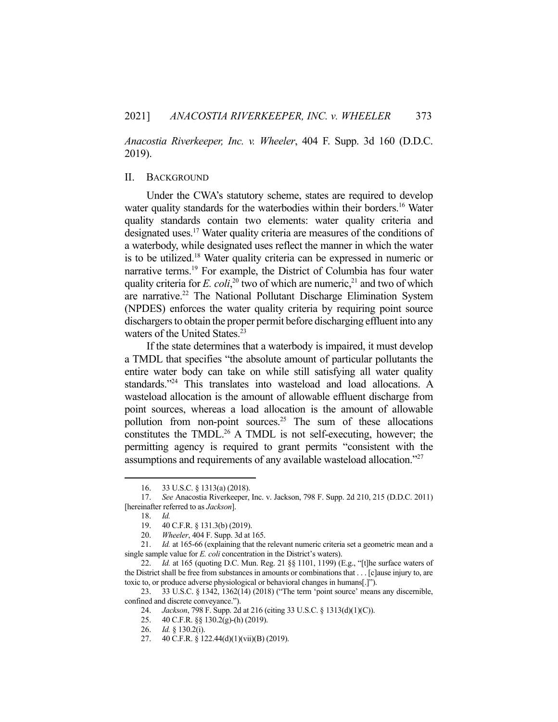*Anacostia Riverkeeper, Inc. v. Wheeler*, 404 F. Supp. 3d 160 (D.D.C. 2019).

### II. BACKGROUND

 Under the CWA's statutory scheme, states are required to develop water quality standards for the waterbodies within their borders.<sup>16</sup> Water quality standards contain two elements: water quality criteria and designated uses.17 Water quality criteria are measures of the conditions of a waterbody, while designated uses reflect the manner in which the water is to be utilized.18 Water quality criteria can be expressed in numeric or narrative terms.<sup>19</sup> For example, the District of Columbia has four water quality criteria for *E. coli*,<sup>20</sup> two of which are numeric,<sup>21</sup> and two of which are narrative.<sup>22</sup> The National Pollutant Discharge Elimination System (NPDES) enforces the water quality criteria by requiring point source dischargers to obtain the proper permit before discharging effluent into any waters of the United States.<sup>23</sup>

 If the state determines that a waterbody is impaired, it must develop a TMDL that specifies "the absolute amount of particular pollutants the entire water body can take on while still satisfying all water quality standards."<sup>24</sup> This translates into wasteload and load allocations. A wasteload allocation is the amount of allowable effluent discharge from point sources, whereas a load allocation is the amount of allowable pollution from non-point sources.<sup>25</sup> The sum of these allocations constitutes the TMDL.<sup>26</sup> A TMDL is not self-executing, however; the permitting agency is required to grant permits "consistent with the assumptions and requirements of any available wasteload allocation."27

 <sup>16. 33</sup> U.S.C. § 1313(a) (2018).

 <sup>17.</sup> *See* Anacostia Riverkeeper, Inc. v. Jackson, 798 F. Supp. 2d 210, 215 (D.D.C. 2011) [hereinafter referred to as *Jackson*].

 <sup>18.</sup> *Id.*

 <sup>19. 40</sup> C.F.R. § 131.3(b) (2019).

 <sup>20.</sup> *Wheeler*, 404 F. Supp. 3d at 165.

 <sup>21.</sup> *Id.* at 165-66 (explaining that the relevant numeric criteria set a geometric mean and a single sample value for *E. coli* concentration in the District's waters).

 <sup>22.</sup> *Id.* at 165 (quoting D.C. Mun. Reg. 21 §§ 1101, 1199) (E.g., "[t]he surface waters of the District shall be free from substances in amounts or combinations that . . . [c]ause injury to, are toxic to, or produce adverse physiological or behavioral changes in humans[.]").

 <sup>23. 33</sup> U.S.C. § 1342, 1362(14) (2018) ("The term 'point source' means any discernible, confined and discrete conveyance.").

 <sup>24.</sup> *Jackson*, 798 F. Supp. 2d at 216 (citing 33 U.S.C. § 1313(d)(1)(C)).

 <sup>25. 40</sup> C.F.R. §§ 130.2(g)-(h) (2019).

 <sup>26.</sup> *Id.* § 130.2(i).

 <sup>27. 40</sup> C.F.R. § 122.44(d)(1)(vii)(B) (2019).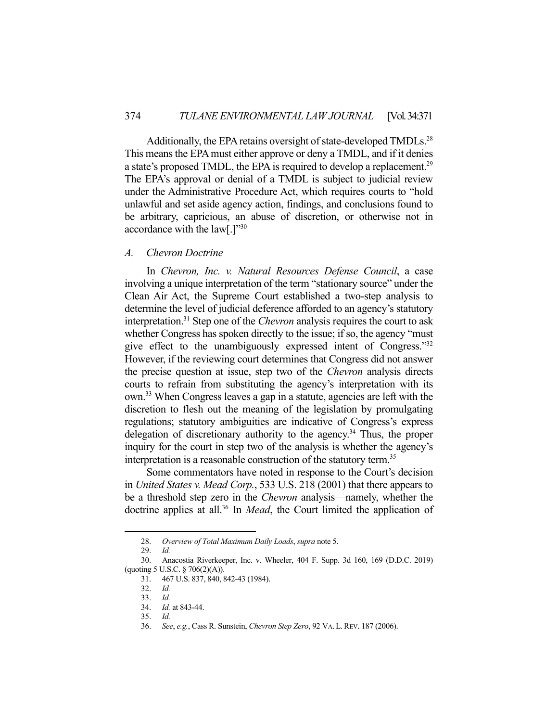Additionally, the EPA retains oversight of state-developed TMDLs.<sup>28</sup> This means the EPA must either approve or deny a TMDL, and if it denies a state's proposed TMDL, the EPA is required to develop a replacement.<sup>29</sup> The EPA's approval or denial of a TMDL is subject to judicial review under the Administrative Procedure Act, which requires courts to "hold unlawful and set aside agency action, findings, and conclusions found to be arbitrary, capricious, an abuse of discretion, or otherwise not in accordance with the law[.]"30

## *A. Chevron Doctrine*

 In *Chevron, Inc. v. Natural Resources Defense Council*, a case involving a unique interpretation of the term "stationary source" under the Clean Air Act, the Supreme Court established a two-step analysis to determine the level of judicial deference afforded to an agency's statutory interpretation.31 Step one of the *Chevron* analysis requires the court to ask whether Congress has spoken directly to the issue; if so, the agency "must give effect to the unambiguously expressed intent of Congress."32 However, if the reviewing court determines that Congress did not answer the precise question at issue, step two of the *Chevron* analysis directs courts to refrain from substituting the agency's interpretation with its own.33 When Congress leaves a gap in a statute, agencies are left with the discretion to flesh out the meaning of the legislation by promulgating regulations; statutory ambiguities are indicative of Congress's express delegation of discretionary authority to the agency.<sup>34</sup> Thus, the proper inquiry for the court in step two of the analysis is whether the agency's interpretation is a reasonable construction of the statutory term.<sup>35</sup>

 Some commentators have noted in response to the Court's decision in *United States v. Mead Corp.*, 533 U.S. 218 (2001) that there appears to be a threshold step zero in the *Chevron* analysis—namely, whether the doctrine applies at all.<sup>36</sup> In *Mead*, the Court limited the application of

35. *Id.*

 <sup>28.</sup> *Overview of Total Maximum Daily Loads*, *supra* note 5.

 <sup>29.</sup> *Id.*

 <sup>30.</sup> Anacostia Riverkeeper, Inc. v. Wheeler, 404 F. Supp. 3d 160, 169 (D.D.C. 2019) (quoting 5 U.S.C. § 706(2)(A)).

 <sup>31. 467</sup> U.S. 837, 840, 842-43 (1984).

 <sup>32.</sup> *Id.*

 <sup>33.</sup> *Id.*

 <sup>34.</sup> *Id.* at 843-44.

 <sup>36.</sup> *See*, *e.g.*, Cass R. Sunstein, *Chevron Step Zero*, 92 VA. L.REV. 187 (2006).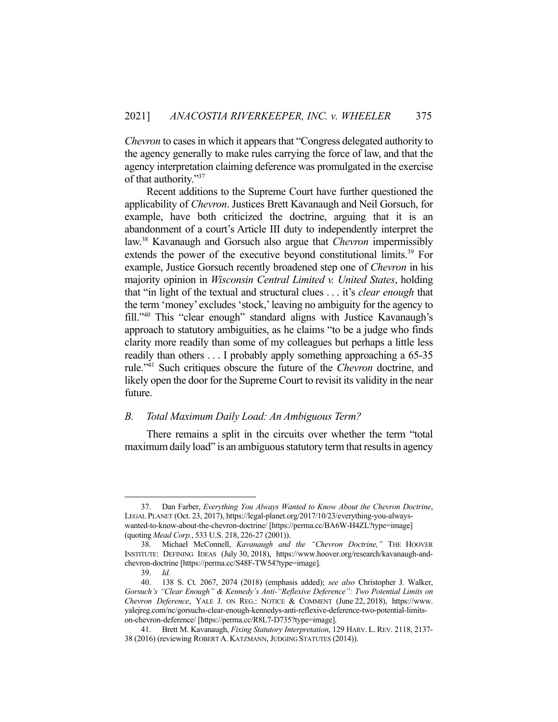*Chevron* to cases in which it appears that "Congress delegated authority to the agency generally to make rules carrying the force of law, and that the agency interpretation claiming deference was promulgated in the exercise of that authority."37

 Recent additions to the Supreme Court have further questioned the applicability of *Chevron*. Justices Brett Kavanaugh and Neil Gorsuch, for example, have both criticized the doctrine, arguing that it is an abandonment of a court's Article III duty to independently interpret the law.38 Kavanaugh and Gorsuch also argue that *Chevron* impermissibly extends the power of the executive beyond constitutional limits.<sup>39</sup> For example, Justice Gorsuch recently broadened step one of *Chevron* in his majority opinion in *Wisconsin Central Limited v. United States*, holding that "in light of the textual and structural clues . . . it's *clear enough* that the term 'money' excludes 'stock,' leaving no ambiguity for the agency to fill."40 This "clear enough" standard aligns with Justice Kavanaugh's approach to statutory ambiguities, as he claims "to be a judge who finds clarity more readily than some of my colleagues but perhaps a little less readily than others . . . I probably apply something approaching a 65-35 rule."41 Such critiques obscure the future of the *Chevron* doctrine, and likely open the door for the Supreme Court to revisit its validity in the near future.

#### *B. Total Maximum Daily Load: An Ambiguous Term?*

 There remains a split in the circuits over whether the term "total maximum daily load" is an ambiguous statutory term that results in agency

 <sup>37.</sup> Dan Farber, *Everything You Always Wanted to Know About the Chevron Doctrine*, LEGAL PLANET (Oct. 23, 2017), https://legal-planet.org/2017/10/23/everything-you-alwayswanted-to-know-about-the-chevron-doctrine/ [https://perma.cc/BA6W-H4ZL?type=image] (quoting *Mead Corp.*, 533 U.S. 218, 226-27 (2001)).

 <sup>38.</sup> Michael McConnell, *Kavanaugh and the "Chevron Doctrine,"* THE HOOVER INSTITUTE: DEFINING IDEAS (July 30, 2018), https://www.hoover.org/research/kavanaugh-andchevron-doctrine [https://perma.cc/S48F-TW54?type=image].

 <sup>39.</sup> *Id.*

 <sup>40. 138</sup> S. Ct. 2067, 2074 (2018) (emphasis added); *see also* Christopher J. Walker, *Gorsuch's "Clear Enough" & Kennedy's Anti-"Reflexive Deference": Two Potential Limits on Chevron Deference*, YALE J. ON REG.: NOTICE & COMMENT (June 22, 2018), https://www. yalejreg.com/nc/gorsuchs-clear-enough-kennedys-anti-reflexive-deference-two-potential-limitson-chevron-deference/ [https://perma.cc/R8L7-D735?type=image].

 <sup>41.</sup> Brett M. Kavanaugh, *Fixing Statutory Interpretation*, 129 HARV. L. REV. 2118, 2137- 38 (2016) (reviewing ROBERT A. KATZMANN, JUDGING STATUTES (2014)).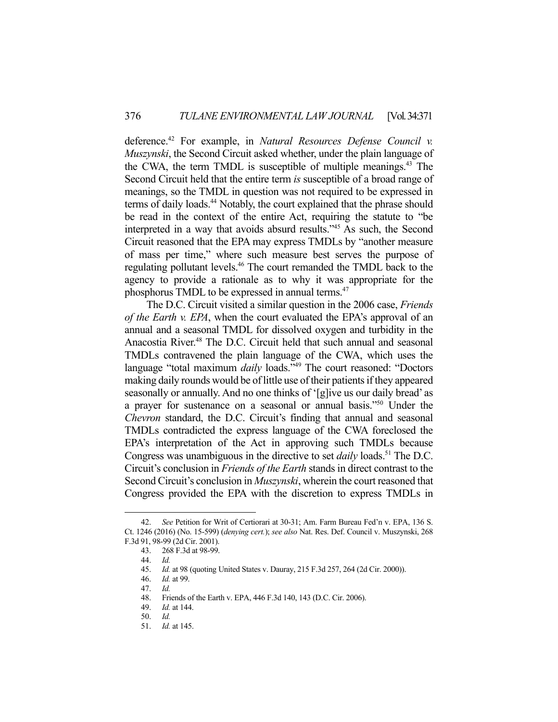deference.42 For example, in *Natural Resources Defense Council v. Muszynski*, the Second Circuit asked whether, under the plain language of the CWA, the term TMDL is susceptible of multiple meanings.<sup>43</sup> The Second Circuit held that the entire term *is* susceptible of a broad range of meanings, so the TMDL in question was not required to be expressed in terms of daily loads.<sup>44</sup> Notably, the court explained that the phrase should be read in the context of the entire Act, requiring the statute to "be interpreted in a way that avoids absurd results."45 As such, the Second Circuit reasoned that the EPA may express TMDLs by "another measure of mass per time," where such measure best serves the purpose of regulating pollutant levels.46 The court remanded the TMDL back to the agency to provide a rationale as to why it was appropriate for the phosphorus TMDL to be expressed in annual terms.<sup>47</sup>

 The D.C. Circuit visited a similar question in the 2006 case, *Friends of the Earth v. EPA*, when the court evaluated the EPA's approval of an annual and a seasonal TMDL for dissolved oxygen and turbidity in the Anacostia River.<sup>48</sup> The D.C. Circuit held that such annual and seasonal TMDLs contravened the plain language of the CWA, which uses the language "total maximum *daily* loads."49 The court reasoned: "Doctors making daily rounds would be of little use of their patients if they appeared seasonally or annually. And no one thinks of '[g]ive us our daily bread' as a prayer for sustenance on a seasonal or annual basis."50 Under the *Chevron* standard, the D.C. Circuit's finding that annual and seasonal TMDLs contradicted the express language of the CWA foreclosed the EPA's interpretation of the Act in approving such TMDLs because Congress was unambiguous in the directive to set *daily* loads.<sup>51</sup> The D.C. Circuit's conclusion in *Friends of the Earth* stands in direct contrast to the Second Circuit's conclusion in *Muszynski*, wherein the court reasoned that Congress provided the EPA with the discretion to express TMDLs in

 <sup>42.</sup> *See* Petition for Writ of Certiorari at 30-31; Am. Farm Bureau Fed'n v. EPA, 136 S. Ct. 1246 (2016) (No. 15-599) (*denying cert.*); *see also* Nat. Res. Def. Council v. Muszynski, 268 F.3d 91, 98-99 (2d Cir. 2001).

 <sup>43. 268</sup> F.3d at 98-99.

 <sup>44.</sup> *Id.*

 <sup>45.</sup> *Id.* at 98 (quoting United States v. Dauray, 215 F.3d 257, 264 (2d Cir. 2000)).

 <sup>46.</sup> *Id.* at 99.

 <sup>47.</sup> *Id.*

 <sup>48.</sup> Friends of the Earth v. EPA, 446 F.3d 140, 143 (D.C. Cir. 2006).

 <sup>49.</sup> *Id.* at 144.

 <sup>50.</sup> *Id.*

 <sup>51.</sup> *Id.* at 145.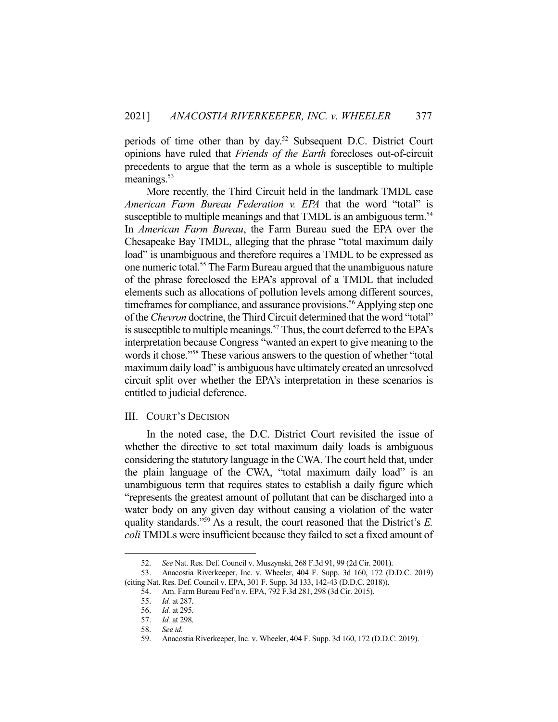periods of time other than by day.52 Subsequent D.C. District Court opinions have ruled that *Friends of the Earth* forecloses out-of-circuit precedents to argue that the term as a whole is susceptible to multiple meanings.<sup>53</sup>

 More recently, the Third Circuit held in the landmark TMDL case *American Farm Bureau Federation v. EPA* that the word "total" is susceptible to multiple meanings and that TMDL is an ambiguous term.<sup>54</sup> In *American Farm Bureau*, the Farm Bureau sued the EPA over the Chesapeake Bay TMDL, alleging that the phrase "total maximum daily load" is unambiguous and therefore requires a TMDL to be expressed as one numeric total.55 The Farm Bureau argued that the unambiguous nature of the phrase foreclosed the EPA's approval of a TMDL that included elements such as allocations of pollution levels among different sources, timeframes for compliance, and assurance provisions.<sup>56</sup> Applying step one of the *Chevron* doctrine, the Third Circuit determined that the word "total" is susceptible to multiple meanings.<sup>57</sup> Thus, the court deferred to the EPA's interpretation because Congress "wanted an expert to give meaning to the words it chose."58 These various answers to the question of whether "total maximum daily load" is ambiguous have ultimately created an unresolved circuit split over whether the EPA's interpretation in these scenarios is entitled to judicial deference.

#### III. COURT'S DECISION

 In the noted case, the D.C. District Court revisited the issue of whether the directive to set total maximum daily loads is ambiguous considering the statutory language in the CWA. The court held that, under the plain language of the CWA, "total maximum daily load" is an unambiguous term that requires states to establish a daily figure which "represents the greatest amount of pollutant that can be discharged into a water body on any given day without causing a violation of the water quality standards."59 As a result, the court reasoned that the District's *E. coli* TMDLs were insufficient because they failed to set a fixed amount of

 <sup>52.</sup> *See* Nat. Res. Def. Council v. Muszynski, 268 F.3d 91, 99 (2d Cir. 2001).

 <sup>53.</sup> Anacostia Riverkeeper, Inc. v. Wheeler, 404 F. Supp. 3d 160, 172 (D.D.C. 2019)

<sup>(</sup>citing Nat. Res. Def. Council v. EPA, 301 F. Supp. 3d 133, 142-43 (D.D.C. 2018)).

 <sup>54.</sup> Am. Farm Bureau Fed'n v. EPA, 792 F.3d 281, 298 (3d Cir. 2015).

 <sup>55.</sup> *Id.* at 287.

 <sup>56.</sup> *Id.* at 295.

 <sup>57.</sup> *Id.* at 298.

 <sup>58.</sup> *See id.*

 <sup>59.</sup> Anacostia Riverkeeper, Inc. v. Wheeler, 404 F. Supp. 3d 160, 172 (D.D.C. 2019).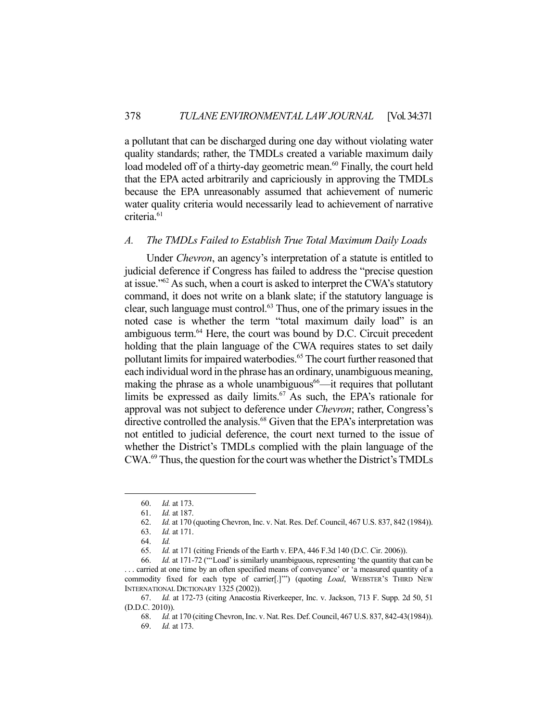a pollutant that can be discharged during one day without violating water quality standards; rather, the TMDLs created a variable maximum daily load modeled off of a thirty-day geometric mean.<sup>60</sup> Finally, the court held that the EPA acted arbitrarily and capriciously in approving the TMDLs because the EPA unreasonably assumed that achievement of numeric water quality criteria would necessarily lead to achievement of narrative criteria.<sup>61</sup>

## *A. The TMDLs Failed to Establish True Total Maximum Daily Loads*

 Under *Chevron*, an agency's interpretation of a statute is entitled to judicial deference if Congress has failed to address the "precise question at issue."62 As such, when a court is asked to interpret the CWA's statutory command, it does not write on a blank slate; if the statutory language is clear, such language must control.<sup>63</sup> Thus, one of the primary issues in the noted case is whether the term "total maximum daily load" is an ambiguous term.<sup>64</sup> Here, the court was bound by D.C. Circuit precedent holding that the plain language of the CWA requires states to set daily pollutant limits for impaired waterbodies.<sup>65</sup> The court further reasoned that each individual word in the phrase has an ordinary, unambiguous meaning, making the phrase as a whole unambiguous $66$ —it requires that pollutant limits be expressed as daily limits.<sup>67</sup> As such, the EPA's rationale for approval was not subject to deference under *Chevron*; rather, Congress's directive controlled the analysis.<sup>68</sup> Given that the EPA's interpretation was not entitled to judicial deference, the court next turned to the issue of whether the District's TMDLs complied with the plain language of the CWA.69 Thus, the question for the court was whether the District's TMDLs

 <sup>60.</sup> *Id.* at 173.

 <sup>61.</sup> *Id.* at 187.

 <sup>62.</sup> *Id.* at 170 (quoting Chevron, Inc. v. Nat. Res. Def. Council, 467 U.S. 837, 842 (1984)).

 <sup>63.</sup> *Id.* at 171.

 <sup>64.</sup> *Id.*

 <sup>65.</sup> *Id.* at 171 (citing Friends of the Earth v. EPA, 446 F.3d 140 (D.C. Cir. 2006)).

 <sup>66.</sup> *Id.* at 171-72 ("'Load' is similarly unambiguous, representing 'the quantity that can be . . . carried at one time by an often specified means of conveyance' or 'a measured quantity of a commodity fixed for each type of carrier[.]'") (quoting *Load*, WEBSTER'S THIRD NEW INTERNATIONAL DICTIONARY 1325 (2002)).

 <sup>67.</sup> *Id.* at 172-73 (citing Anacostia Riverkeeper, Inc. v. Jackson, 713 F. Supp. 2d 50, 51 (D.D.C. 2010)).

 <sup>68.</sup> *Id.* at 170 (citing Chevron, Inc. v. Nat. Res. Def. Council, 467 U.S. 837, 842-43(1984)). 69. *Id.* at 173.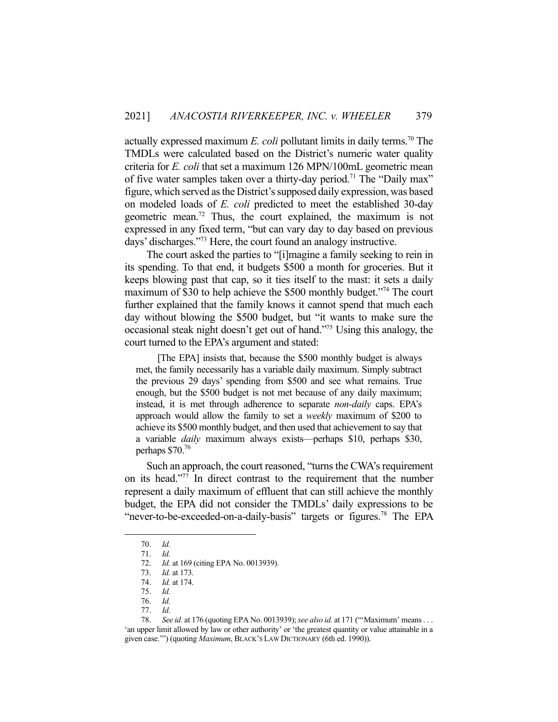actually expressed maximum  $E$ . *coli* pollutant limits in daily terms.<sup>70</sup> The TMDLs were calculated based on the District's numeric water quality criteria for *E. coli* that set a maximum 126 MPN/100mL geometric mean of five water samples taken over a thirty-day period.<sup>71</sup> The "Daily max" figure, which served as the District's supposed daily expression, was based on modeled loads of *E. coli* predicted to meet the established 30-day geometric mean.72 Thus, the court explained, the maximum is not expressed in any fixed term, "but can vary day to day based on previous days' discharges."73 Here, the court found an analogy instructive.

 The court asked the parties to "[i]magine a family seeking to rein in its spending. To that end, it budgets \$500 a month for groceries. But it keeps blowing past that cap, so it ties itself to the mast: it sets a daily maximum of \$30 to help achieve the \$500 monthly budget."<sup>74</sup> The court further explained that the family knows it cannot spend that much each day without blowing the \$500 budget, but "it wants to make sure the occasional steak night doesn't get out of hand."75 Using this analogy, the court turned to the EPA's argument and stated:

 [The EPA] insists that, because the \$500 monthly budget is always met, the family necessarily has a variable daily maximum. Simply subtract the previous 29 days' spending from \$500 and see what remains. True enough, but the \$500 budget is not met because of any daily maximum; instead, it is met through adherence to separate *non-daily* caps. EPA's approach would allow the family to set a *weekly* maximum of \$200 to achieve its \$500 monthly budget, and then used that achievement to say that a variable *daily* maximum always exists—perhaps \$10, perhaps \$30, perhaps \$70.76

 Such an approach, the court reasoned, "turns the CWA's requirement on its head."77 In direct contrast to the requirement that the number represent a daily maximum of effluent that can still achieve the monthly budget, the EPA did not consider the TMDLs' daily expressions to be "never-to-be-exceeded-on-a-daily-basis" targets or figures.<sup>78</sup> The EPA

 <sup>70.</sup> *Id.*

 <sup>71.</sup> *Id.*

 <sup>72.</sup> *Id.* at 169 (citing EPA No. 0013939).

 <sup>73.</sup> *Id.* at 173.

 <sup>74.</sup> *Id.* at 174.

 <sup>75.</sup> *Id.*

 <sup>76.</sup> *Id.*

 <sup>77.</sup> *Id.*

 <sup>78.</sup> *See id.* at 176 (quoting EPA No. 0013939); *see also id.* at 171 ("'Maximum' means . . . 'an upper limit allowed by law or other authority' or 'the greatest quantity or value attainable in a given case.'") (quoting *Maximum*, BLACK'S LAW DICTIONARY (6th ed. 1990)).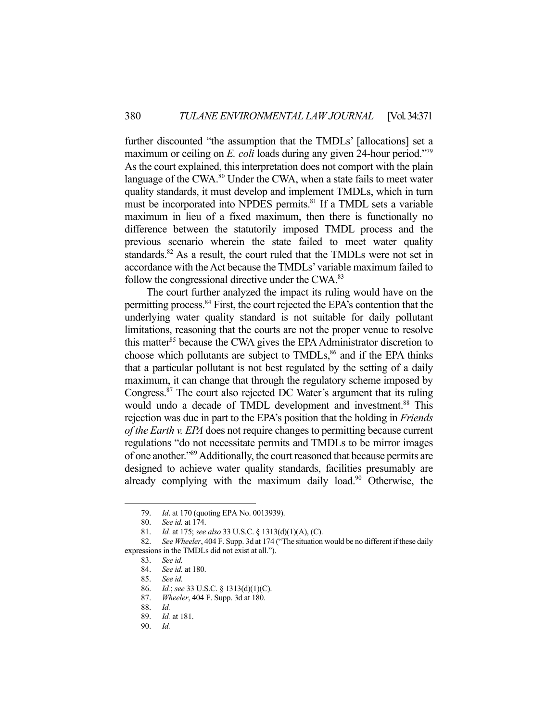further discounted "the assumption that the TMDLs' [allocations] set a maximum or ceiling on *E. coli* loads during any given 24-hour period."<sup>79</sup> As the court explained, this interpretation does not comport with the plain language of the CWA.<sup>80</sup> Under the CWA, when a state fails to meet water quality standards, it must develop and implement TMDLs, which in turn must be incorporated into NPDES permits.<sup>81</sup> If a TMDL sets a variable maximum in lieu of a fixed maximum, then there is functionally no difference between the statutorily imposed TMDL process and the previous scenario wherein the state failed to meet water quality standards.<sup>82</sup> As a result, the court ruled that the TMDLs were not set in accordance with the Act because the TMDLs' variable maximum failed to follow the congressional directive under the CWA.<sup>83</sup>

 The court further analyzed the impact its ruling would have on the permitting process.84 First, the court rejected the EPA's contention that the underlying water quality standard is not suitable for daily pollutant limitations, reasoning that the courts are not the proper venue to resolve this matter<sup>85</sup> because the CWA gives the EPA Administrator discretion to choose which pollutants are subject to  $\text{TMDLs}^{86}$  and if the EPA thinks that a particular pollutant is not best regulated by the setting of a daily maximum, it can change that through the regulatory scheme imposed by Congress.87 The court also rejected DC Water's argument that its ruling would undo a decade of TMDL development and investment.<sup>88</sup> This rejection was due in part to the EPA's position that the holding in *Friends of the Earth v. EPA* does not require changes to permitting because current regulations "do not necessitate permits and TMDLs to be mirror images of one another."89 Additionally, the court reasoned that because permits are designed to achieve water quality standards, facilities presumably are already complying with the maximum daily load.<sup>90</sup> Otherwise, the

 <sup>79.</sup> *Id*. at 170 (quoting EPA No. 0013939).

 <sup>80.</sup> *See id.* at 174.

 <sup>81.</sup> *Id.* at 175; *see also* 33 U.S.C. § 1313(d)(1)(A), (C).

 <sup>82.</sup> *See Wheeler*, 404 F. Supp. 3d at 174 ("The situation would be no different if these daily expressions in the TMDLs did not exist at all.").

 <sup>83.</sup> *See id.*

 <sup>84.</sup> *See id.* at 180.

 <sup>85.</sup> *See id.*

 <sup>86.</sup> *Id.*; *see* 33 U.S.C. § 1313(d)(1)(C).

 <sup>87.</sup> *Wheeler*, 404 F. Supp. 3d at 180.

 <sup>88.</sup> *Id.*

 <sup>89.</sup> *Id.* at 181.

 <sup>90.</sup> *Id.*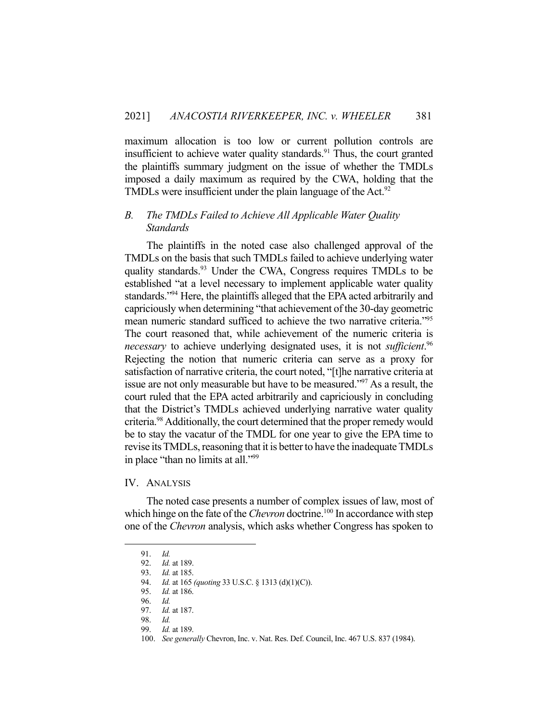maximum allocation is too low or current pollution controls are insufficient to achieve water quality standards.<sup>91</sup> Thus, the court granted the plaintiffs summary judgment on the issue of whether the TMDLs imposed a daily maximum as required by the CWA, holding that the TMDLs were insufficient under the plain language of the Act. $92$ 

# *B. The TMDLs Failed to Achieve All Applicable Water Quality Standards*

 The plaintiffs in the noted case also challenged approval of the TMDLs on the basis that such TMDLs failed to achieve underlying water quality standards.<sup>93</sup> Under the CWA, Congress requires TMDLs to be established "at a level necessary to implement applicable water quality standards."<sup>94</sup> Here, the plaintiffs alleged that the EPA acted arbitrarily and capriciously when determining "that achievement of the 30-day geometric mean numeric standard sufficed to achieve the two narrative criteria."95 The court reasoned that, while achievement of the numeric criteria is *necessary* to achieve underlying designated uses, it is not *sufficient*. 96 Rejecting the notion that numeric criteria can serve as a proxy for satisfaction of narrative criteria, the court noted, "[t]he narrative criteria at issue are not only measurable but have to be measured."97 As a result, the court ruled that the EPA acted arbitrarily and capriciously in concluding that the District's TMDLs achieved underlying narrative water quality criteria.98 Additionally, the court determined that the proper remedy would be to stay the vacatur of the TMDL for one year to give the EPA time to revise its TMDLs, reasoning that it is better to have the inadequate TMDLs in place "than no limits at all."<sup>99</sup>

#### IV. ANALYSIS

 The noted case presents a number of complex issues of law, most of which hinge on the fate of the *Chevron* doctrine.<sup>100</sup> In accordance with step one of the *Chevron* analysis, which asks whether Congress has spoken to

 <sup>91.</sup> *Id.*

 <sup>92.</sup> *Id.* at 189.

 <sup>93.</sup> *Id.* at 185.

 <sup>94.</sup> *Id.* at 165 *(quoting* 33 U.S.C. § 1313 (d)(1)(C)).

 <sup>95.</sup> *Id.* at 186.

 <sup>96.</sup> *Id.*

 <sup>97.</sup> *Id.* at 187.

 <sup>98.</sup> *Id.*

 <sup>99.</sup> *Id.* at 189.

 <sup>100.</sup> *See generally* Chevron, Inc. v. Nat. Res. Def. Council, Inc. 467 U.S. 837 (1984).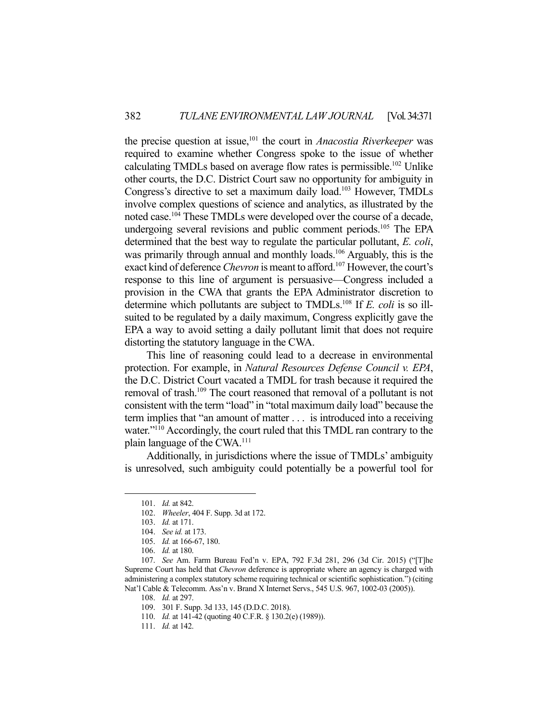the precise question at issue,101 the court in *Anacostia Riverkeeper* was required to examine whether Congress spoke to the issue of whether calculating TMDLs based on average flow rates is permissible.<sup>102</sup> Unlike other courts, the D.C. District Court saw no opportunity for ambiguity in Congress's directive to set a maximum daily load.<sup>103</sup> However, TMDLs involve complex questions of science and analytics, as illustrated by the noted case.<sup>104</sup> These TMDLs were developed over the course of a decade, undergoing several revisions and public comment periods.<sup>105</sup> The EPA determined that the best way to regulate the particular pollutant, *E. coli*, was primarily through annual and monthly loads.<sup>106</sup> Arguably, this is the exact kind of deference *Chevron* is meant to afford.<sup>107</sup> However, the court's response to this line of argument is persuasive—Congress included a provision in the CWA that grants the EPA Administrator discretion to determine which pollutants are subject to TMDLs.108 If *E. coli* is so illsuited to be regulated by a daily maximum, Congress explicitly gave the EPA a way to avoid setting a daily pollutant limit that does not require distorting the statutory language in the CWA.

 This line of reasoning could lead to a decrease in environmental protection. For example, in *Natural Resources Defense Council v. EPA*, the D.C. District Court vacated a TMDL for trash because it required the removal of trash.<sup>109</sup> The court reasoned that removal of a pollutant is not consistent with the term "load" in "total maximum daily load" because the term implies that "an amount of matter . . . is introduced into a receiving water."<sup>110</sup> Accordingly, the court ruled that this TMDL ran contrary to the plain language of the CWA.111

 Additionally, in jurisdictions where the issue of TMDLs' ambiguity is unresolved, such ambiguity could potentially be a powerful tool for

 <sup>101.</sup> *Id.* at 842.

 <sup>102.</sup> *Wheeler*, 404 F. Supp. 3d at 172.

 <sup>103.</sup> *Id.* at 171.

 <sup>104.</sup> *See id.* at 173.

 <sup>105.</sup> *Id.* at 166-67, 180.

 <sup>106.</sup> *Id.* at 180.

 <sup>107.</sup> *See* Am. Farm Bureau Fed'n v. EPA, 792 F.3d 281, 296 (3d Cir. 2015) ("[T]he Supreme Court has held that *Chevron* deference is appropriate where an agency is charged with administering a complex statutory scheme requiring technical or scientific sophistication.") (citing Nat'l Cable & Telecomm. Ass'n v. Brand X Internet Servs., 545 U.S. 967, 1002-03 (2005)).

 <sup>108.</sup> *Id.* at 297.

 <sup>109. 301</sup> F. Supp. 3d 133, 145 (D.D.C. 2018).

 <sup>110.</sup> *Id.* at 141-42 (quoting 40 C.F.R. § 130.2(e) (1989)).

 <sup>111.</sup> *Id.* at 142.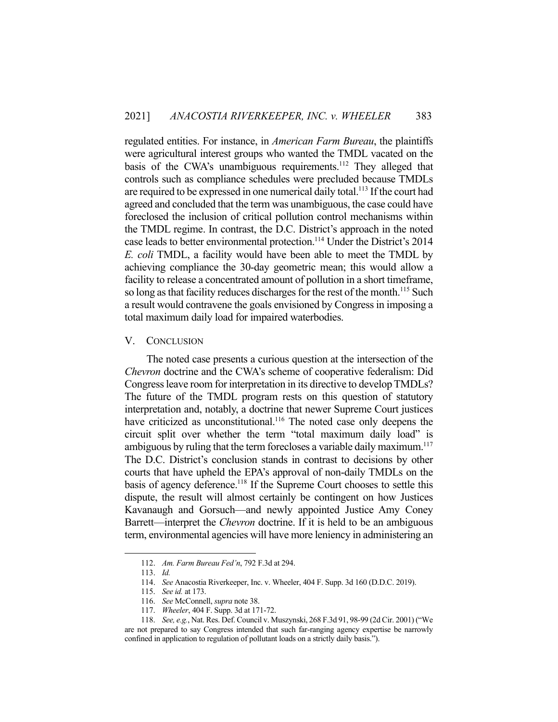regulated entities. For instance, in *American Farm Bureau*, the plaintiffs were agricultural interest groups who wanted the TMDL vacated on the basis of the CWA's unambiguous requirements.<sup>112</sup> They alleged that controls such as compliance schedules were precluded because TMDLs are required to be expressed in one numerical daily total.<sup>113</sup> If the court had agreed and concluded that the term was unambiguous, the case could have foreclosed the inclusion of critical pollution control mechanisms within the TMDL regime. In contrast, the D.C. District's approach in the noted case leads to better environmental protection.<sup>114</sup> Under the District's 2014 *E. coli* TMDL, a facility would have been able to meet the TMDL by achieving compliance the 30-day geometric mean; this would allow a facility to release a concentrated amount of pollution in a short timeframe, so long as that facility reduces discharges for the rest of the month.<sup>115</sup> Such a result would contravene the goals envisioned by Congress in imposing a total maximum daily load for impaired waterbodies.

#### V. CONCLUSION

 The noted case presents a curious question at the intersection of the *Chevron* doctrine and the CWA's scheme of cooperative federalism: Did Congress leave room for interpretation in its directive to develop TMDLs? The future of the TMDL program rests on this question of statutory interpretation and, notably, a doctrine that newer Supreme Court justices have criticized as unconstitutional.<sup>116</sup> The noted case only deepens the circuit split over whether the term "total maximum daily load" is ambiguous by ruling that the term forecloses a variable daily maximum.<sup>117</sup> The D.C. District's conclusion stands in contrast to decisions by other courts that have upheld the EPA's approval of non-daily TMDLs on the basis of agency deference.<sup>118</sup> If the Supreme Court chooses to settle this dispute, the result will almost certainly be contingent on how Justices Kavanaugh and Gorsuch—and newly appointed Justice Amy Coney Barrett—interpret the *Chevron* doctrine. If it is held to be an ambiguous term, environmental agencies will have more leniency in administering an

 <sup>112.</sup> *Am. Farm Bureau Fed'n*, 792 F.3d at 294.

 <sup>113.</sup> *Id.*

 <sup>114.</sup> *See* Anacostia Riverkeeper, Inc. v. Wheeler, 404 F. Supp. 3d 160 (D.D.C. 2019).

 <sup>115.</sup> *See id.* at 173.

 <sup>116.</sup> *See* McConnell, *supra* note 38.

 <sup>117.</sup> *Wheeler*, 404 F. Supp. 3d at 171-72.

 <sup>118.</sup> *See, e.g.*, Nat. Res. Def. Council v. Muszynski, 268 F.3d 91, 98-99 (2d Cir. 2001) ("We are not prepared to say Congress intended that such far-ranging agency expertise be narrowly confined in application to regulation of pollutant loads on a strictly daily basis.").